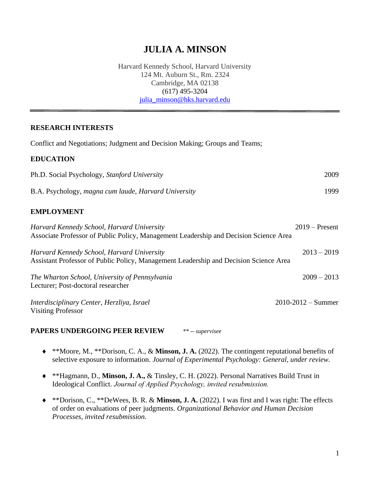# **JULIA A. MINSON**

Harvard Kennedy School, Harvard University 124 Mt. Auburn St., Rm. 2324 Cambridge, MA 02138 (617) 495-3204 [julia\\_minson@hks.harvard.edu](mailto:julia_minson@hks.harvard.edu)

#### **RESEARCH INTERESTS**

Conflict and Negotiations; Judgment and Decision Making; Groups and Teams;

#### **EDUCATION**

| Ph.D. Social Psychology, Stanford University         | 2009 |
|------------------------------------------------------|------|
| B.A. Psychology, magna cum laude, Harvard University | 1999 |

#### **EMPLOYMENT**

| Harvard Kennedy School, Harvard University<br>Associate Professor of Public Policy, Management Leadership and Decision Science Area | $2019$ – Present       |
|-------------------------------------------------------------------------------------------------------------------------------------|------------------------|
| Harvard Kennedy School, Harvard University<br>Assistant Professor of Public Policy, Management Leadership and Decision Science Area | $2013 - 2019$          |
| The Wharton School, University of Pennsylvania<br>Lecturer; Post-doctoral researcher                                                | $2009 - 2013$          |
| Interdisciplinary Center, Herzliya, Israel<br><b>Visiting Professor</b>                                                             | $2010 - 2012 - Summer$ |

#### **PAPERS UNDERGOING PEER REVIEW** *\*\* -- supervisee*

- \*\*Moore, M., \*\*Dorison, C. A., & **Minson, J. A.** (2022). The contingent reputational benefits of selective exposure to information. *Journal of Experimental Psychology: General, under review.*
- \*\*Hagmann, D., **Minson, J. A.,** & Tinsley, C. H. (2022). Personal Narratives Build Trust in Ideological Conflict. *Journal of Applied Psychology, invited resubmission.*
- \*\*Dorison, C., \*\*DeWees, B. R. & **Minson, J. A.** (2022). I was first and I was right: The effects of order on evaluations of peer judgments. *Organizational Behavior and Human Decision Processes, invited resubmission.*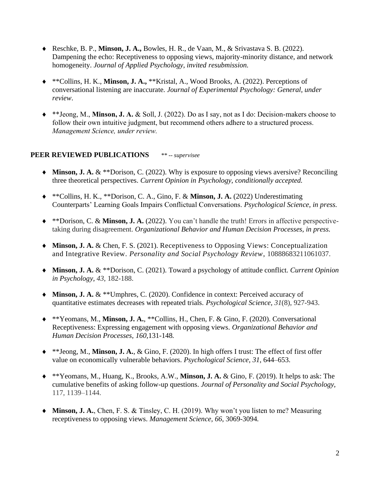- Reschke, B. P., **Minson, J. A.,** Bowles, H. R., de Vaan, M., & Srivastava S. B. (2022). Dampening the echo: Receptiveness to opposing views, majority-minority distance, and network homogeneity. *Journal of Applied Psychology, invited resubmission.*
- \*\*Collins, H. K., **Minson, J. A.,** \*\*Kristal, A., Wood Brooks, A. (2022). Perceptions of conversational listening are inaccurate. *Journal of Experimental Psychology: General, under review*.
- \*\*Jeong, M., **Minson, J. A.** & Soll, J. (2022). Do as I say, not as I do: Decision-makers choose to follow their own intuitive judgment, but recommend others adhere to a structured process. *Management Science, under review.*

## **PEER REVIEWED PUBLICATIONS** *\*\* -- supervisee*

- ◆ Minson, **J. A.** & \*\*Dorison, C. (2022). Why is exposure to opposing views aversive? Reconciling three theoretical perspectives. *Current Opinion in Psychology, conditionally accepted.*
- \*\*Collins, H. K., \*\*Dorison, C. A., Gino, F. & **Minson, J. A.** (2022) Underestimating Counterparts' Learning Goals Impairs Conflictual Conversations. *Psychological Science, in press.*
- \*\*Dorison, C. & **Minson, J. A.** (2022). You can't handle the truth! Errors in affective perspectivetaking during disagreement. *Organizational Behavior and Human Decision Processes, in press.*
- **Minson, J. A.** & Chen, F. S. (2021). Receptiveness to Opposing Views: Conceptualization and Integrative Review. *Personality and Social Psychology Review*, 10888683211061037.
- **Minson, J. A.** & \*\*Dorison, C. (2021). Toward a psychology of attitude conflict. *Current Opinion in Psychology, 43*, 182-188.
- ◆ Minson, **J. A.** & \*\*Umphres, C. (2020). Confidence in context: Perceived accuracy of quantitative estimates decreases with repeated trials. *Psychological Science, 31*(8), 927-943.
- \*\*Yeomans, M., **Minson, J. A.**, \*\*Collins, H., Chen, F. & Gino, F. (2020). Conversational Receptiveness: Expressing engagement with opposing views. *Organizational Behavior and Human Decision Processes, 160,*131-148*.*
- \*\*Jeong, M., **Minson, J. A.**, & Gino, F. (2020). In high offers I trust: The effect of first offer value on economically vulnerable behaviors. *Psychological Science, 31*, 644–653.
- \*\*Yeomans, M., Huang, K., Brooks, A.W., **Minson, J. A.** & Gino, F. (2019). It helps to ask: The cumulative benefits of asking follow-up questions. *Journal of Personality and Social Psychology,*  117, 1139–1144.
- **Minson, J. A.**, Chen, F. S. & Tinsley, C. H. (2019). Why won't you listen to me? Measuring receptiveness to opposing views. *Management Science, 66*, 3069-3094*.*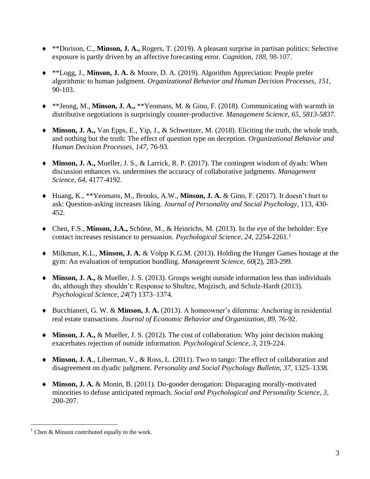- \*\*Dorison, C., **Minson, J. A.,** Rogers, T. (2019). A pleasant surprise in partisan politics: Selective exposure is partly driven by an affective forecasting error. *Cognition, 188*, 98-107.
- \*\*Logg, J., **Minson, J. A.** & Moore, D. A. (2019). Algorithm Appreciation: People prefer algorithmic to human judgment. *Organizational Behavior and Human Decision Processes, 151,*  90-103.
- \*\*Jeong, M., **Minson, J. A.,** \*\*Yeomans, M. & Gino, F. (2018). Communicating with warmth in distributive negotiations is surprisingly counter-productive. *Management Science, 65, 5813-5837.*
- **Minson, J. A.,** Van Epps, E., Yip, J., & Schweitzer, M. (2018). Eliciting the truth, the whole truth, and nothing but the truth: The effect of question type on deception. *Organizational Behavior and Human Decision Processes, 147*, 76-93*.*
- **Minson, J. A.,** Mueller, J. S., & Larrick, R. P. (2017). The contingent wisdom of dyads: When discussion enhances vs. undermines the accuracy of collaborative judgments. *Management Science, 64,* 4177-4192.
- Huang, K., \*\*Yeomans, M., Brooks, A.W., **Minson, J. A.** & Gino, F. (2017). It doesn't hurt to ask: Question-asking increases liking. *Journal of Personality and Social Psychology,* 113, 430- 452.
- Chen, F.S., **Minson, J.A.,** Schöne, M., & Heinrichs, M. (2013). In the eye of the beholder: Eye contact increases resistance to persuasion. *Psychological Science, 24*, 2254-2261. 1
- Milkman, K.L., **Minson, J. A.** & Volpp K.G.M. (2013). Holding [the Hunger Games](http://papers.ssrn.com/sol3/papers.cfm?abstract_id=2183859) hostage at the [gym: An evaluation of temptation bundling.](http://papers.ssrn.com/sol3/papers.cfm?abstract_id=2183859) *Management Science, 60*(2), 283-299*.*
- **Minson, J. A.,** & Mueller, J. S. (2013). Groups weight outside information less than individuals do, although they shouldn't: Response to Shultze, Mojzisch, and Schulz-Hardt (2013). *Psychological Science, 24*(7) 1373–1374*.*
- Bucchianeri, G. W. & **Minson, J. A.** (2013). A homeowner's dilemma: Anchoring in residential real estate transactions. *Journal of Economic Behavior and Organization*, *89*, 76-92.
- ◆ Minson, **J. A.,** & Mueller, J. S. (2012). The cost of collaboration: Why joint decision making exacerbates rejection of outside information. *Psychological Science, 3,* 219-224.
- ◆ Minson, J. A., Liberman, V., & Ross, L. (2011). Two to tango: The effect of collaboration and disagreement on dyadic judgment. *Personality and Social Psychology Bulletin, 37,* 1325–1338*.*
- **Minson, J. A.** & Monin, B. (2011). Do-gooder derogation: Disparaging morally-motivated minorities to defuse anticipated reproach. *Social and Psychological and Personality Science, 3,*  200-207.

<sup>&</sup>lt;sup>1</sup> Chen & Minson contributed equally to the work.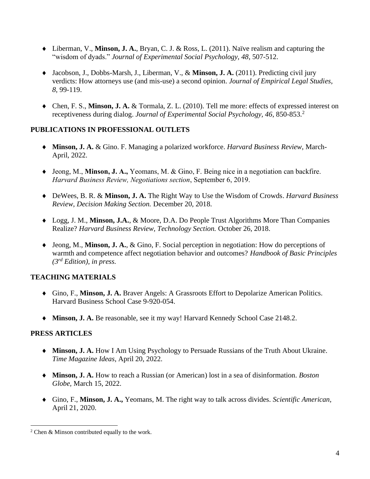- Liberman, V., **Minson, J. A.**, Bryan, C. J. & Ross, L. (2011). Naïve realism and capturing the "wisdom of dyads." *Journal of Experimental Social Psychology, 48*, 507-512.
- ◆ Jacobson, J., Dobbs-Marsh, J., Liberman, V., & Minson, J. A. (2011). Predicting civil jury verdicts: How attorneys use (and mis-use) a second opinion. *Journal of Empirical Legal Studies, 8,* 99-119.
- Chen, F. S., **Minson, J. A.** & Tormala, Z. L. (2010). Tell me more: effects of expressed interest on receptiveness during dialog. *Journal of Experimental Social Psychology, 46*, 850-853.<sup>2</sup>

## **PUBLICATIONS IN PROFESSIONAL OUTLETS**

- **Minson, J. A.** & Gino. F. Managing a polarized workforce. *Harvard Business Review*, March-April, 2022.
- Jeong, M., **Minson, J. A.,** Yeomans, M. & Gino, F. Being nice in a negotiation can backfire. *Harvard Business Review, Negotiations section*, September 6, 2019.
- DeWees, B. R. & **Minson, J. A.** The Right Way to Use the Wisdom of Crowds. *Harvard Business Review, Decision Making Section.* December 20, 2018.
- Logg, J. M., **Minson, J.A.**, & Moore, D.A. Do People Trust Algorithms More Than Companies Realize? *Harvard Business Review, Technology Section.* October 26, 2018.
- Jeong, M., **Minson, J. A.**, & Gino, F. Social perception in negotiation: How do perceptions of warmth and competence affect negotiation behavior and outcomes? *Handbook of Basic Principles (3rd Edition), in press.*

# **TEACHING MATERIALS**

- Gino, F., **Minson, J. A.** Braver Angels: A Grassroots Effort to Depolarize American Politics. Harvard Business School Case 9-920-054.
- **Minson, J. A.** Be reasonable, see it my way! Harvard Kennedy School Case 2148.2.

## **PRESS ARTICLES**

- **Minson, J. A.** How I Am Using Psychology to Persuade Russians of the Truth About Ukraine. *Time Magazine Ideas*, April 20, 2022.
- **Minson, J. A.** How to reach a Russian (or American) lost in a sea of disinformation. *Boston Globe,* March 15, 2022.
- Gino, F., **Minson, J. A.,** Yeomans, M. The right way to talk across divides. *Scientific American,* April 21, 2020.

<sup>2</sup> Chen & Minson contributed equally to the work.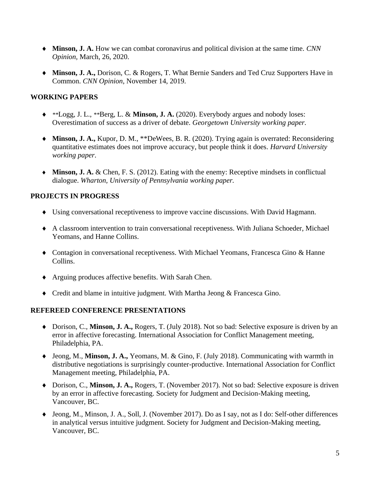- **Minson, J. A.** How we can combat coronavirus and political division at the same time. *CNN Opinion,* March, 26, 2020.
- **Minson, J. A.,** Dorison, C. & Rogers, T. What Bernie Sanders and Ted Cruz Supporters Have in Common. *CNN Opinion*, November 14, 2019.

## **WORKING PAPERS**

- *\*\**Logg, J. L., *\*\**Berg, L. & **Minson, J. A.** (2020). Everybody argues and nobody loses: Overestimation of success as a driver of debate. *Georgetown University working paper.*
- **Minson, J. A.,** Kupor, D. M., \*\*DeWees, B. R. (2020). Trying again is overrated: Reconsidering quantitative estimates does not improve accuracy, but people think it does. *Harvard University working paper.*
- **Minson, J. A.** & Chen, F. S. (2012). Eating with the enemy: Receptive mindsets in conflictual dialogue. *Wharton, University of Pennsylvania working paper.*

## **PROJECTS IN PROGRESS**

- Using conversational receptiveness to improve vaccine discussions. With David Hagmann.
- A classroom intervention to train conversational receptiveness. With Juliana Schoeder, Michael Yeomans, and Hanne Collins.
- Contagion in conversational receptiveness. With Michael Yeomans, Francesca Gino & Hanne Collins.
- Arguing produces affective benefits. With Sarah Chen.
- Credit and blame in intuitive judgment. With Martha Jeong & Francesca Gino.

## **REFEREED CONFERENCE PRESENTATIONS**

- Dorison, C., **Minson, J. A.,** Rogers, T. (July 2018). Not so bad: Selective exposure is driven by an error in affective forecasting. International Association for Conflict Management meeting, Philadelphia, PA.
- Jeong, M., **Minson, J. A.,** Yeomans, M. & Gino, F. (July 2018). Communicating with warmth in distributive negotiations is surprisingly counter-productive. International Association for Conflict Management meeting, Philadelphia, PA.
- ◆ Dorison, C., Minson, J. A., Rogers, T. (November 2017). Not so bad: Selective exposure is driven by an error in affective forecasting. Society for Judgment and Decision-Making meeting, Vancouver, BC.
- Jeong, M., Minson, J. A., Soll, J. (November 2017). Do as I say, not as I do: Self-other differences in analytical versus intuitive judgment. Society for Judgment and Decision-Making meeting, Vancouver, BC.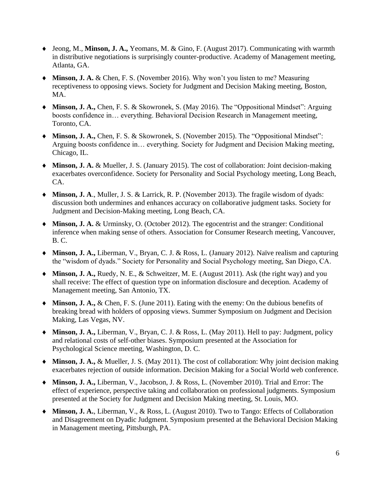- Jeong, M., **Minson, J. A.,** Yeomans, M. & Gino, F. (August 2017). Communicating with warmth in distributive negotiations is surprisingly counter-productive. Academy of Management meeting, Atlanta, GA.
- ◆ Minson, **J. A.** & Chen, F. S. (November 2016). Why won't you listen to me? Measuring receptiveness to opposing views. Society for Judgment and Decision Making meeting, Boston, MA.
- ◆ Minson, J. A., Chen, F. S. & Skowronek, S. (May 2016). The "Oppositional Mindset": Arguing boosts confidence in… everything. Behavioral Decision Research in Management meeting, Toronto, CA.
- **Minson, J. A.,** Chen, F. S. & Skowronek, S. (November 2015). The "Oppositional Mindset": Arguing boosts confidence in… everything. Society for Judgment and Decision Making meeting, Chicago, IL.
- **Minson, J. A.** & Mueller, J. S. (January 2015). The cost of collaboration: Joint decision-making exacerbates overconfidence. Society for Personality and Social Psychology meeting, Long Beach, CA.
- **Minson, J. A**., Muller, J. S. & Larrick, R. P. (November 2013). The fragile wisdom of dyads: discussion both undermines and enhances accuracy on collaborative judgment tasks. Society for Judgment and Decision-Making meeting, Long Beach, CA.
- ◆ Minson, **J. A.** & Urminsky, O. (October 2012). The egocentrist and the stranger: Conditional inference when making sense of others. Association for Consumer Research meeting, Vancouver, B. C.
- **Minson, J. A.,** Liberman, V., Bryan, C. J. & Ross, L. (January 2012). Naïve realism and capturing the "wisdom of dyads." Society for Personality and Social Psychology meeting, San Diego, CA.
- **Minson, J. A.,** Ruedy, N. E., & Schweitzer, M. E. (August 2011). Ask (the right way) and you shall receive: The effect of question type on information disclosure and deception. Academy of Management meeting, San Antonio, TX.
- ◆ Minson, **J. A.,** & Chen, F. S. (June 2011). Eating with the enemy: On the dubious benefits of breaking bread with holders of opposing views. Summer Symposium on Judgment and Decision Making, Las Vegas, NV.
- **Minson, J. A.,** Liberman, V., Bryan, C. J. & Ross, L. (May 2011). Hell to pay: Judgment, policy and relational costs of self-other biases. Symposium presented at the Association for Psychological Science meeting, Washington, D. C.
- **Minson, J. A.,** & Mueller, J. S. (May 2011). The cost of collaboration: Why joint decision making exacerbates rejection of outside information. Decision Making for a Social World web conference.
- **Minson, J. A.,** Liberman, V., Jacobson, J. & Ross, L. (November 2010). Trial and Error: The effect of experience, perspective taking and collaboration on professional judgments. Symposium presented at the Society for Judgment and Decision Making meeting, St. Louis, MO.
- **Minson, J. A.**, Liberman, V., & Ross, L. (August 2010). Two to Tango: Effects of Collaboration and Disagreement on Dyadic Judgment. Symposium presented at the Behavioral Decision Making in Management meeting, Pittsburgh, PA.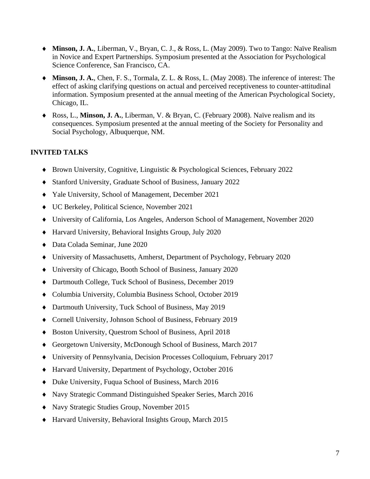- **Minson, J. A.**, Liberman, V., Bryan, C. J., & Ross, L. (May 2009). Two to Tango: Naïve Realism in Novice and Expert Partnerships. Symposium presented at the Association for Psychological Science Conference, San Francisco, CA.
- **Minson, J. A.**, Chen, F. S., Tormala, Z. L. & Ross, L. (May 2008). The inference of interest: The effect of asking clarifying questions on actual and perceived receptiveness to counter-attitudinal information. Symposium presented at the annual meeting of the American Psychological Society, Chicago, IL.
- Ross, L., **Minson, J. A.**, Liberman, V. & Bryan, C. (February 2008). Naïve realism and its consequences. Symposium presented at the annual meeting of the Society for Personality and Social Psychology, Albuquerque, NM.

# **INVITED TALKS**

- Brown University, Cognitive, Linguistic & Psychological Sciences, February 2022
- Stanford University, Graduate School of Business, January 2022
- Yale University, School of Management, December 2021
- UC Berkeley, Political Science, November 2021
- University of California, Los Angeles, Anderson School of Management, November 2020
- Harvard University, Behavioral Insights Group, July 2020
- Data Colada Seminar, June 2020
- University of Massachusetts, Amherst, Department of Psychology, February 2020
- University of Chicago, Booth School of Business, January 2020
- Dartmouth College, Tuck School of Business, December 2019
- Columbia University, Columbia Business School, October 2019
- Dartmouth University, Tuck School of Business, May 2019
- Cornell University, Johnson School of Business, February 2019
- Boston University, Questrom School of Business, April 2018
- Georgetown University, McDonough School of Business, March 2017
- University of Pennsylvania, Decision Processes Colloquium, February 2017
- Harvard University, Department of Psychology, October 2016
- Duke University, Fuqua School of Business, March 2016
- Navy Strategic Command Distinguished Speaker Series, March 2016
- Navy Strategic Studies Group, November 2015
- Harvard University, Behavioral Insights Group, March 2015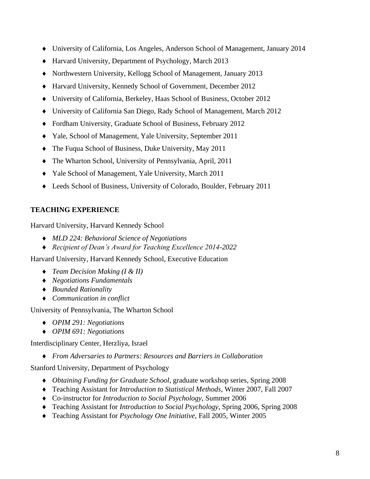- University of California, Los Angeles, Anderson School of Management, January 2014
- Harvard University, Department of Psychology, March 2013
- Northwestern University, Kellogg School of Management, January 2013
- Harvard University, Kennedy School of Government, December 2012
- University of California, Berkeley, Haas School of Business, October 2012
- University of California San Diego, Rady School of Management, March 2012
- Fordham University, Graduate School of Business, February 2012
- Yale, School of Management, Yale University, September 2011
- The Fuqua School of Business, Duke University, May 2011
- The Wharton School, University of Pennsylvania, April, 2011
- Yale School of Management, Yale University, March 2011
- Leeds School of Business, University of Colorado, Boulder, February 2011

# **TEACHING EXPERIENCE**

Harvard University, Harvard Kennedy School

- *MLD 224: Behavioral Science of Negotiations*
- *Recipient of Dean's Award for Teaching Excellence 2014-2022*

Harvard University, Harvard Kennedy School, Executive Education

- *Team Decision Making (I & II)*
- *Negotiations Fundamentals*
- *Bounded Rationality*
- *Communication in conflict*

University of Pennsylvania, The Wharton School

- *OPIM 291: Negotiations*
- *OPIM 691: Negotiations*

Interdisciplinary Center, Herzliya, Israel

*From Adversaries to Partners: Resources and Barriers in Collaboration*

Stanford University, Department of Psychology

- *Obtaining Funding for Graduate School*, graduate workshop series, Spring 2008
- Teaching Assistant for *Introduction to Statistical Methods*, Winter 2007, Fall 2007
- Co-instructor for *Introduction to Social Psychology*, Summer 2006
- Teaching Assistant for *Introduction to Social Psychology*, Spring 2006, Spring 2008
- Teaching Assistant for *Psychology One Initiative,* Fall 2005, Winter 2005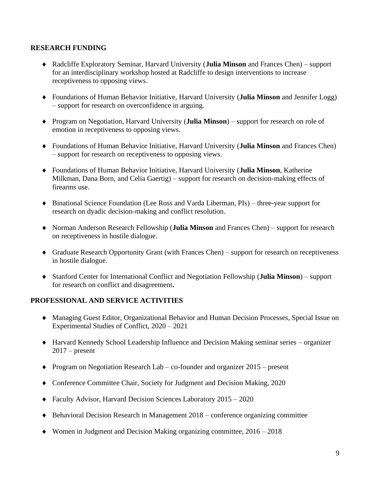## **RESEARCH FUNDING**

- Radcliffe Exploratory Seminar, Harvard University (**Julia Minson** and Frances Chen) support for an interdisciplinary workshop hosted at Radcliffe to design interventions to increase receptiveness to opposing views.
- Foundations of Human Behavior Initiative, Harvard University (**Julia Minson** and Jennifer Logg) – support for research on overconfidence in arguing.
- Program on Negotiation, Harvard University (**Julia Minson**) support for research on role of emotion in receptiveness to opposing views.
- Foundations of Human Behavior Initiative, Harvard University (**Julia Minson** and Frances Chen) – support for research on receptiveness to opposing views.
- Foundations of Human Behavior Initiative, Harvard University (**Julia Minson**, Katherine Milkman, Dana Born, and Celia Gaertig) – support for research on decision-making effects of firearms use.
- Binational Science Foundation (Lee Ross and Varda Liberman, PIs) three-year support for research on dyadic decision-making and conflict resolution.
- Norman Anderson Research Fellowship (**Julia Minson** and Frances Chen) support for research on receptiveness in hostile dialogue.
- Graduate Research Opportunity Grant (with Frances Chen) support for research on receptiveness in hostile dialogue.
- Stanford Center for International Conflict and Negotiation Fellowship (**Julia Minson**) support for research on conflict and disagreement**.**

#### **PROFESSIONAL AND SERVICE ACTIVITIES**

- Managing Guest Editor, Organizational Behavior and Human Decision Processes, Special Issue on Experimental Studies of Conflict, 2020 – 2021
- Harvard Kennedy School Leadership Influence and Decision Making seminar series organizer  $2017$  – present
- Program on Negotiation Research Lab co-founder and organizer 2015 present
- Conference Committee Chair, Society for Judgment and Decision Making, 2020
- Faculty Advisor, Harvard Decision Sciences Laboratory 2015 2020
- Behavioral Decision Research in Management 2018 conference organizing committee
- Women in Judgment and Decision Making organizing committee, 2016 2018